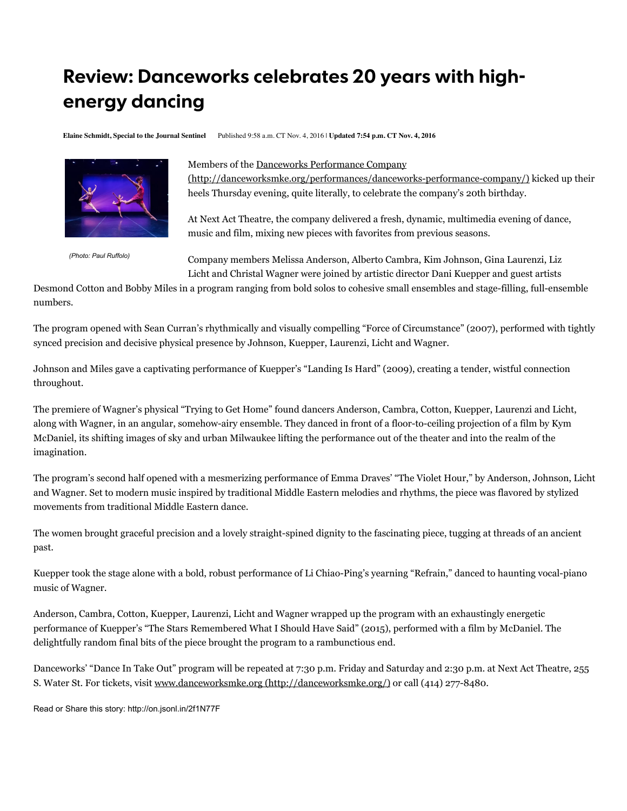## **Review: Danceworks celebrates 20 years with highenergy dancing**

**Elaine Schmidt, Special to the Journal Sentinel** Published 9:58 a.m. CT Nov. 4, 2016 | **Updated 7:54 p.m. CT Nov. 4, 2016**



*(Photo: Paul Ruffolo)*

## Members of the Danceworks Performance Company

(http://danceworksmke.org/performances/danceworks-performance-company/) kicked up their heels Thursday evening, quite literally, to celebrate the company's 20th birthday.

At Next Act Theatre, the company delivered a fresh, dynamic, multimedia evening of dance, music and film, mixing new pieces with favorites from previous seasons.

Company members Melissa Anderson, Alberto Cambra, Kim Johnson, Gina Laurenzi, Liz Licht and Christal Wagner were joined by artistic director Dani Kuepper and guest artists

Desmond Cotton and Bobby Miles in a program ranging from bold solos to cohesive small ensembles and stage-filling, full-ensemble numbers.

The program opened with Sean Curran's rhythmically and visually compelling "Force of Circumstance" (2007), performed with tightly synced precision and decisive physical presence by Johnson, Kuepper, Laurenzi, Licht and Wagner.

Johnson and Miles gave a captivating performance of Kuepper's "Landing Is Hard" (2009), creating a tender, wistful connection throughout.

The premiere of Wagner's physical "Trying to Get Home" found dancers Anderson, Cambra, Cotton, Kuepper, Laurenzi and Licht, along with Wagner, in an angular, somehow-airy ensemble. They danced in front of a floor-to-ceiling projection of a film by Kym McDaniel, its shifting images of sky and urban Milwaukee lifting the performance out of the theater and into the realm of the imagination.

The program's second half opened with a mesmerizing performance of Emma Draves' "The Violet Hour," by Anderson, Johnson, Licht and Wagner. Set to modern music inspired by traditional Middle Eastern melodies and rhythms, the piece was flavored by stylized movements from traditional Middle Eastern dance.

The women brought graceful precision and a lovely straight-spined dignity to the fascinating piece, tugging at threads of an ancient past.

Kuepper took the stage alone with a bold, robust performance of Li Chiao-Ping's yearning "Refrain," danced to haunting vocal-piano music of Wagner.

Anderson, Cambra, Cotton, Kuepper, Laurenzi, Licht and Wagner wrapped up the program with an exhaustingly energetic performance of Kuepper's "The Stars Remembered What I Should Have Said" (2015), performed with a film by McDaniel. The delightfully random final bits of the piece brought the program to a rambunctious end.

Danceworks' "Dance In Take Out" program will be repeated at 7:30 p.m. Friday and Saturday and 2:30 p.m. at Next Act Theatre, 255 S. Water St. For tickets, visit www.danceworksmke.org (http://danceworksmke.org/) or call (414) 277-8480.

Read or Share this story: http://on.jsonl.in/2f1N77F